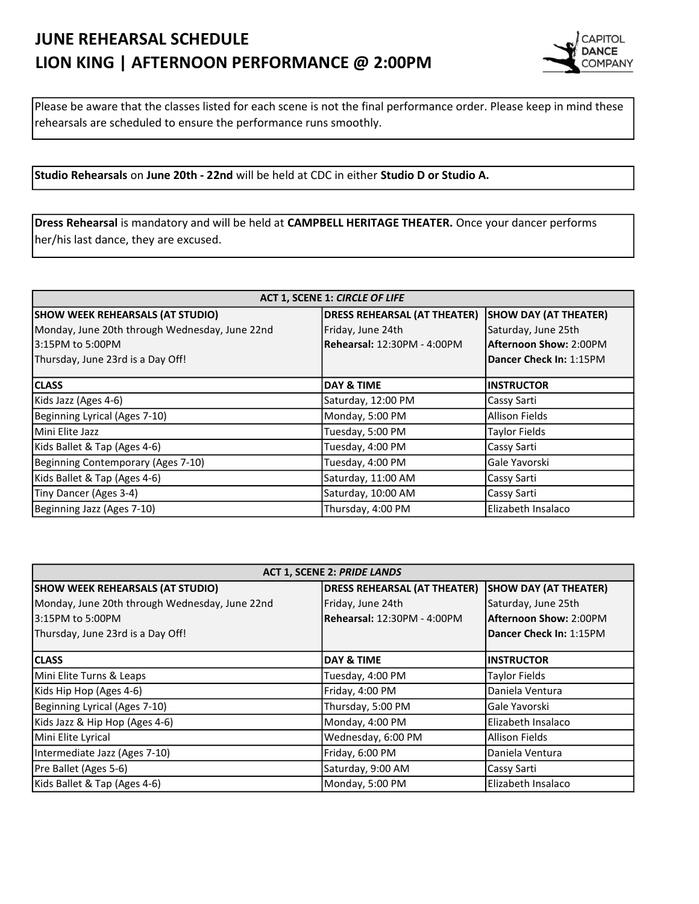## JUNE REHEARSAL SCHEDULE LION KING | AFTERNOON PERFORMANCE @ 2:00PM



Please be aware that the classes listed for each scene is not the final performance order. Please keep in mind these rehearsals are scheduled to ensure the performance runs smoothly.

Studio Rehearsals on June 20th - 22nd will be held at CDC in either Studio D or Studio A.

Dress Rehearsal is mandatory and will be held at CAMPBELL HERITAGE THEATER. Once your dancer performs her/his last dance, they are excused.

| <b>ACT 1, SCENE 1: CIRCLE OF LIFE</b>          |                                     |                               |  |
|------------------------------------------------|-------------------------------------|-------------------------------|--|
| <b>SHOW WEEK REHEARSALS (AT STUDIO)</b>        | <b>DRESS REHEARSAL (AT THEATER)</b> | <b>SHOW DAY (AT THEATER)</b>  |  |
| Monday, June 20th through Wednesday, June 22nd | Friday, June 24th                   | Saturday, June 25th           |  |
| l3:15PM to 5:00PM                              | Rehearsal: 12:30PM - 4:00PM         | <b>Afternoon Show: 2:00PM</b> |  |
| Thursday, June 23rd is a Day Off!              |                                     | Dancer Check In: 1:15PM       |  |
| <b>CLASS</b>                                   | DAY & TIME                          | <b>INSTRUCTOR</b>             |  |
|                                                |                                     |                               |  |
| Kids Jazz (Ages 4-6)                           | Saturday, 12:00 PM                  | Cassy Sarti                   |  |
| Beginning Lyrical (Ages 7-10)                  | Monday, 5:00 PM                     | Allison Fields                |  |
| lMini Elite Jazz                               | Tuesday, 5:00 PM                    | <b>Taylor Fields</b>          |  |
| Kids Ballet & Tap (Ages 4-6)                   | Tuesday, 4:00 PM                    | Cassy Sarti                   |  |
| Beginning Contemporary (Ages 7-10)             | Tuesday, 4:00 PM                    | Gale Yavorski                 |  |
| Kids Ballet & Tap (Ages 4-6)                   | Saturday, 11:00 AM                  | Cassy Sarti                   |  |
| Tiny Dancer (Ages 3-4)                         | Saturday, 10:00 AM                  | Cassy Sarti                   |  |
| Beginning Jazz (Ages 7-10)                     | Thursday, 4:00 PM                   | Elizabeth Insalaco            |  |

| <b>ACT 1, SCENE 2: PRIDE LANDS</b>             |                                     |                               |  |
|------------------------------------------------|-------------------------------------|-------------------------------|--|
| <b>SHOW WEEK REHEARSALS (AT STUDIO)</b>        | <b>DRESS REHEARSAL (AT THEATER)</b> | <b>SHOW DAY (AT THEATER)</b>  |  |
| Monday, June 20th through Wednesday, June 22nd | Friday, June 24th                   | Saturday, June 25th           |  |
| l3:15PM to 5:00PM                              | Rehearsal: 12:30PM - 4:00PM         | <b>Afternoon Show: 2:00PM</b> |  |
| Thursday, June 23rd is a Day Off!              |                                     | Dancer Check In: 1:15PM       |  |
| <b>CLASS</b>                                   | <b>DAY &amp; TIME</b>               | <b>INSTRUCTOR</b>             |  |
| Mini Elite Turns & Leaps                       | Tuesday, 4:00 PM                    | <b>Taylor Fields</b>          |  |
| Kids Hip Hop (Ages 4-6)                        | Friday, 4:00 PM                     | lDaniela Ventura              |  |
| Beginning Lyrical (Ages 7-10)                  | Thursday, 5:00 PM                   | Gale Yavorski                 |  |
| Kids Jazz & Hip Hop (Ages 4-6)                 | Monday, 4:00 PM                     | Elizabeth Insalaco            |  |
| Mini Elite Lyrical                             | Wednesday, 6:00 PM                  | lAllison Fields               |  |
| Intermediate Jazz (Ages 7-10)                  | Friday, 6:00 PM                     | Daniela Ventura               |  |
| Pre Ballet (Ages 5-6)                          | Saturday, 9:00 AM                   | Cassy Sarti                   |  |
| Kids Ballet & Tap (Ages 4-6)                   | Monday, 5:00 PM                     | Elizabeth Insalaco            |  |